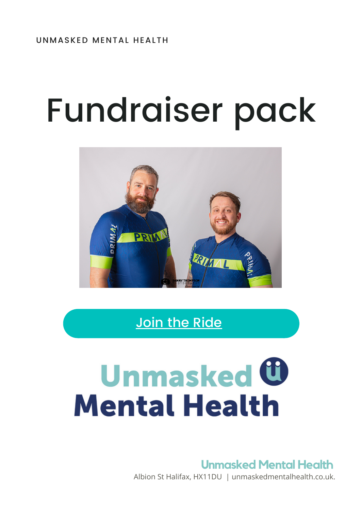# Fundraiser pack



Join the [Ride](https://localgiving.org/unmaskedcoast2coast2022)

# **Unmasked U Mental Health**

### **Unmasked Mental Health**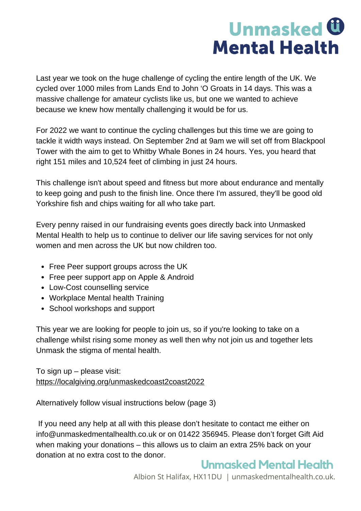### **Unmasked <b>C Mental Health**

Last year we took on the huge challenge of cycling the entire length of the UK. We cycled over 1000 miles from Lands End to John 'O Groats in 14 days. This was a massive challenge for amateur cyclists like us, but one we wanted to achieve because we knew how mentally challenging it would be for us.

For 2022 we want to continue the cycling challenges but this time we are going to tackle it width ways instead. On September 2nd at 9am we will set off from Blackpool Tower with the aim to get to Whitby Whale Bones in 24 hours. Yes, you heard that right 151 miles and 10,524 feet of climbing in just 24 hours.

This challenge isn't about speed and fitness but more about endurance and mentally to keep going and push to the finish line. Once there I'm assured, they'll be good old Yorkshire fish and chips waiting for all who take part.

Every penny raised in our fundraising events goes directly back into Unmasked Mental Health to help us to continue to deliver our life saving services for not only women and men across the UK but now children too.

- Free Peer support groups across the UK
- Free peer support app on Apple & Android
- Low-Cost counselling service
- Workplace Mental health Training
- School workshops and support

This year we are looking for people to join us, so if you're looking to take on a challenge whilst rising some money as well then why not join us and together lets Unmask the stigma of mental health.

To sign up – please visit: <https://localgiving.org/unmaskedcoast2coast2022>

Alternatively follow visual instructions below (page 3)

If you need any help at all with this please don't hesitate to contact me either on info@unmaskedmentalhealth.co.uk or on 01422 356945. Please don't forget Gift Aid when making your donations – this allows us to claim an extra 25% back on your donation at no extra cost to the donor.

### **Unmasked Mental Health**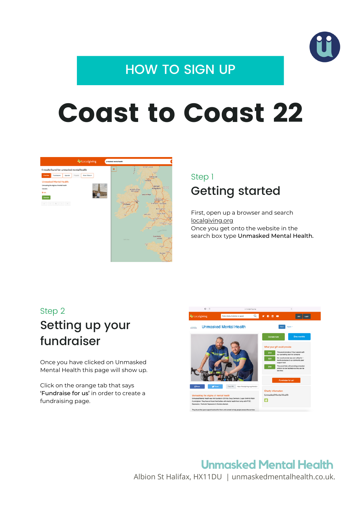

### HOW TO SIGN UP

## Coast to Coast 22



### Getting started Step 1

First, open up a browser and search [localgiving.org](http://localgiving.org/) Once you get onto the website in the search box type Unmasked Mental Health.

#### Step 2

### Setting up your fundraiser

Once you have clicked on Unmasked Mental Health this page will show up.

Click on the orange tab that says 'Fundraise for us' in order to create a fundraising page.



### **Unmasked Mental Health**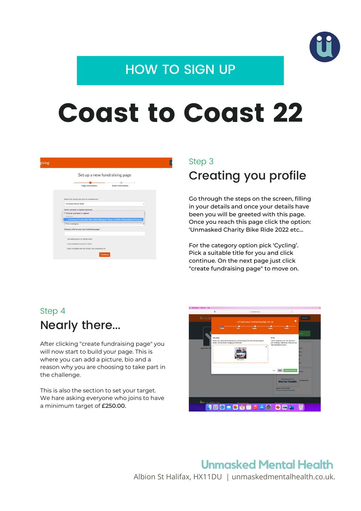

### HOW TO SIGN UP

## Coast to Coast 22

|                                                        |                  | Set up a new fundraising page                                                    |   |
|--------------------------------------------------------|------------------|----------------------------------------------------------------------------------|---|
|                                                        | Page information | Event information                                                                |   |
| Select the charity you wish to fundraise for "         |                  |                                                                                  |   |
| Unmasked Mental Health                                 |                  |                                                                                  | ٠ |
| Select a project or appeal (optional)                  |                  |                                                                                  |   |
| Choose a project or appeal<br>Appeals                  |                  |                                                                                  |   |
|                                                        |                  | Unmasked Charity Bike Ride 2022 (Blackpool Tower to Whitby Whale Bones 24 hours) |   |
| Pick a category                                        |                  |                                                                                  |   |
| Choose a title for your new fundraising page *         |                  |                                                                                  |   |
| I am taking part in an official event                  |                  |                                                                                  |   |
| I am fundraising as part of a team                     |                  |                                                                                  |   |
| Share my details with the charity I am fundraising for |                  |                                                                                  |   |

#### Step 3

### Creating you profile

Go through the steps on the screen, filling in your details and once your details have been you will be greeted with this page. Once you reach this page click the option: 'Unmasked Charity Bike Ride 2022 etc...

For the category option pick 'Cycling'. Pick a suitable title for you and click continue. On the next page just click "create fundraising page" to move on.

### Nearly there... Step 4

After clicking "create fundraising page" you will now start to build your page. This is where you can add a picture, bio and a reason why you are choosing to take part in the challenge.

This is also the section to set your target. We hare asking everyone who joins to have a minimum target of £250.00.



#### **Unmasked Mental Health** Albion St Halifax, HX11DU | unmaskedmentalhealth.co.uk.